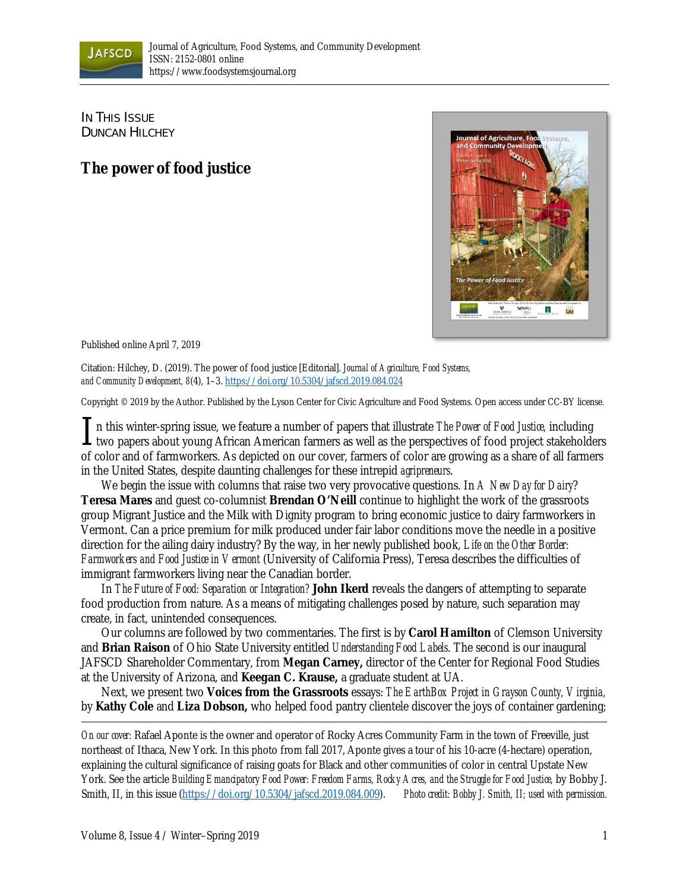

IN THIS ISSUE DUNCAN HILCHEY

## **The power of food justice**



Published online April 7, 2019

Citation: Hilchey, D. (2019). The power of food justice [Editorial]. *Journal of Agriculture, Food Systems, and Community Development, 8*(4), 1–3. https://doi.org/10.5304/jafscd.2019.084.024

Copyright © 2019 by the Author. Published by the Lyson Center for Civic Agriculture and Food Systems. Open access under CC-BY license.

n this winter-spring issue, we feature a number of papers that illustrate *The Power of Food Justice,* including  $\prod$ n this winter-spring issue, we feature a number of papers that illustrate *The Power of Food Justice*, including two papers about young African American farmers as well as the perspectives of food project stakeholders of color and of farmworkers. As depicted on our cover, farmers of color are growing as a share of all farmers in the United States, despite daunting challenges for these intrepid *agripreneurs*.

 We begin the issue with columns that raise two very provocative questions. In *A New Day for Dairy*? **Teresa Mares** and guest co-columnist **Brendan O'Neill** continue to highlight the work of the grassroots group Migrant Justice and the Milk with Dignity program to bring economic justice to dairy farmworkers in Vermont. Can a price premium for milk produced under fair labor conditions move the needle in a positive direction for the ailing dairy industry? By the way, in her newly published book, *Life on the Other Border: Farmworkers and Food Justice in Vermont* (University of California Press), Teresa describes the difficulties of immigrant farmworkers living near the Canadian border.

 In *The Future of Food: Separation or Integration?* **John Ikerd** reveals the dangers of attempting to separate food production from nature. As a means of mitigating challenges posed by nature, such separation may create, in fact, unintended consequences.

 Our columns are followed by two commentaries. The first is by **Carol Hamilton** of Clemson University and **Brian Raison** of Ohio State University entitled *Understanding Food Labels*. The second is our inaugural JAFSCD Shareholder Commentary, from **Megan Carney,** director of the Center for Regional Food Studies at the University of Arizona, and **Keegan C. Krause,** a graduate student at UA.

 Next, we present two **Voices from the Grassroots** essays: *The EarthBox Project in Grayson County, Virginia,* by **Kathy Cole** and **Liza Dobson,** who helped food pantry clientele discover the joys of container gardening;

*On our cover:* Rafael Aponte is the owner and operator of Rocky Acres Community Farm in the town of Freeville, just northeast of Ithaca, New York. In this photo from fall 2017, Aponte gives a tour of his 10-acre (4-hectare) operation, explaining the cultural significance of raising goats for Black and other communities of color in central Upstate New York. See the article *Building Emancipatory Food Power: Freedom Farms, Rocky Acres, and the Struggle for Food Justice,* by Bobby J. Smith, II, in this issue (https://doi.org/10.5304/jafscd.2019.084.009). *Photo credit: Bobby J. Smith, II; used with permission.*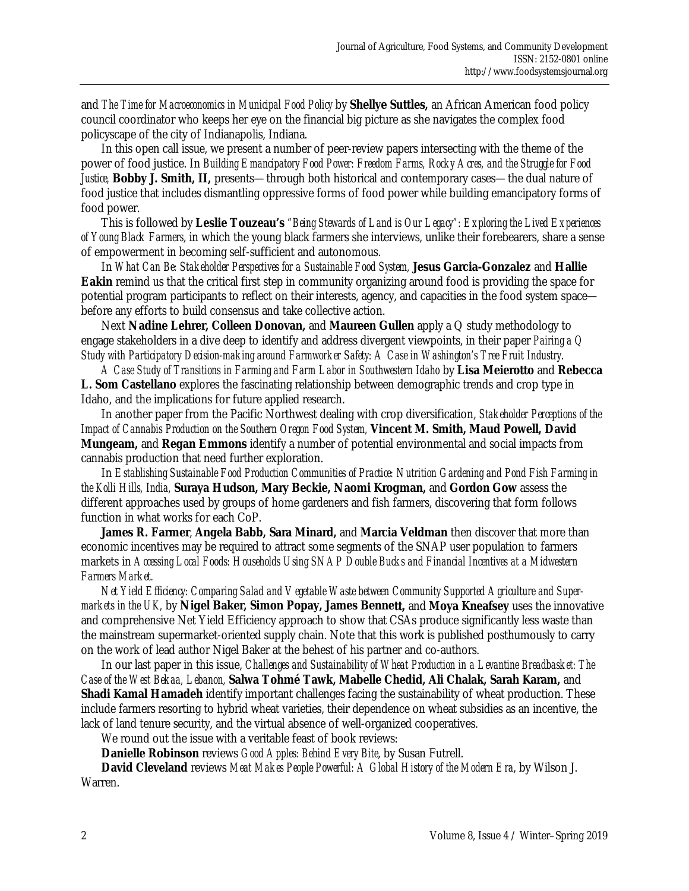and *The Time for Macroeconomics in Municipal Food Policy* by **Shellye Suttles,** an African American food policy council coordinator who keeps her eye on the financial big picture as she navigates the complex food policyscape of the city of Indianapolis, Indiana.

 In this open call issue, we present a number of peer-review papers intersecting with the theme of the power of food justice. In *Building Emancipatory Food Power: Freedom Farms, Rocky Acres, and the Struggle for Food Justice,* **Bobby J. Smith, II,** presents—through both historical and contemporary cases—the dual nature of food justice that includes dismantling oppressive forms of food power while building emancipatory forms of food power.

 This is followed by **Leslie Touzeau's** *"Being Stewards of Land is Our Legacy": Exploring the Lived Experiences of Young Black Farmers*, in which the young black farmers she interviews, unlike their forebearers, share a sense of empowerment in becoming self-sufficient and autonomous.

 In *What Can Be: Stakeholder Perspectives for a Sustainable Food System,* **Jesus Garcia-Gonzalez** and **Hallie Eakin** remind us that the critical first step in community organizing around food is providing the space for potential program participants to reflect on their interests, agency, and capacities in the food system space before any efforts to build consensus and take collective action.

Next **Nadine Lehrer, Colleen Donovan,** and **Maureen Gullen** apply a Q study methodology to engage stakeholders in a dive deep to identify and address divergent viewpoints, in their paper *Pairing a Q Study with Participatory Decision-making around Farmworker Safety: A Case in Washington's Tree Fruit Industry*.

*A Case Study of Transitions in Farming and Farm Labor in Southwestern Idaho* by **Lisa Meierotto** and **Rebecca L. Som Castellano** explores the fascinating relationship between demographic trends and crop type in Idaho, and the implications for future applied research.

 In another paper from the Pacific Northwest dealing with crop diversification, *Stakeholder Perceptions of the Impact of Cannabis Production on the Southern Oregon Food System,* **Vincent M. Smith, Maud Powell, David Mungeam,** and **Regan Emmons** identify a number of potential environmental and social impacts from cannabis production that need further exploration.

 In *Establishing Sustainable Food Production Communities of Practice: Nutrition Gardening and Pond Fish Farming in the Kolli Hills, India,* **Suraya Hudson, Mary Beckie, Naomi Krogman,** and **Gordon Gow** assess the different approaches used by groups of home gardeners and fish farmers, discovering that form follows function in what works for each CoP.

**James R. Farmer**, **Angela Babb, Sara Minard,** and **Marcia Veldman** then discover that more than economic incentives may be required to attract some segments of the SNAP user population to farmers markets in *Accessing Local Foods: Households Using SNAP Double Bucks and Financial Incentives at a Midwestern Farmers Market.*

*Net Yield Efficiency: Comparing Salad and Vegetable Waste between Community Supported Agriculture and Supermarkets in the UK,* by **Nigel Baker, Simon Popay, James Bennett,** and **Moya Kneafsey** uses the innovative and comprehensive Net Yield Efficiency approach to show that CSAs produce significantly less waste than the mainstream supermarket-oriented supply chain. Note that this work is published posthumously to carry on the work of lead author Nigel Baker at the behest of his partner and co-authors.

 In our last paper in this issue, *Challenges and Sustainability of Wheat Production in a Levantine Breadbasket: The Case of the West Bekaa, Lebanon,* **Salwa Tohmé Tawk, Mabelle Chedid, Ali Chalak, Sarah Karam,** and **Shadi Kamal Hamadeh** identify important challenges facing the sustainability of wheat production. These include farmers resorting to hybrid wheat varieties, their dependence on wheat subsidies as an incentive, the lack of land tenure security, and the virtual absence of well-organized cooperatives.

We round out the issue with a veritable feast of book reviews:

 **Danielle Robinson** reviews *Good Apples: Behind Every Bite*, by Susan Futrell.

**David Cleveland** reviews *Meat Makes People Powerful: A Global History of the Modern Era*, by Wilson J. Warren.